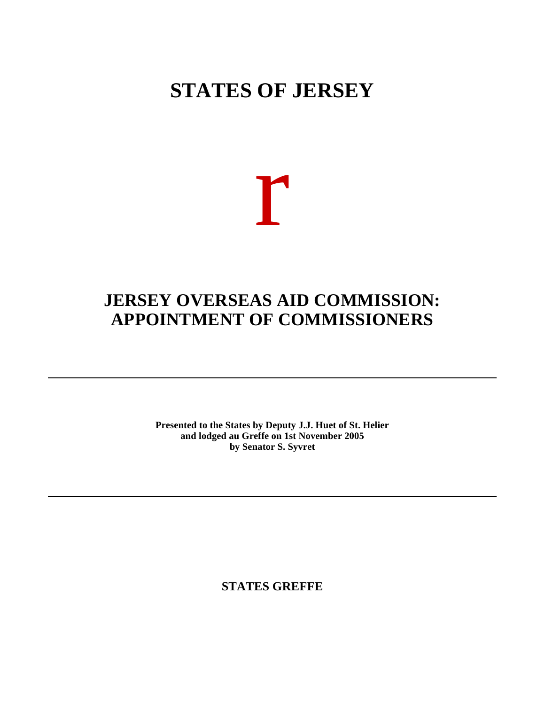# **STATES OF JERSEY**



## **JERSEY OVERSEAS AID COMMISSION: APPOINTMENT OF COMMISSIONERS**

**Presented to the States by Deputy J.J. Huet of St. Helier and lodged au Greffe on 1st November 2005 by Senator S. Syvret**

**STATES GREFFE**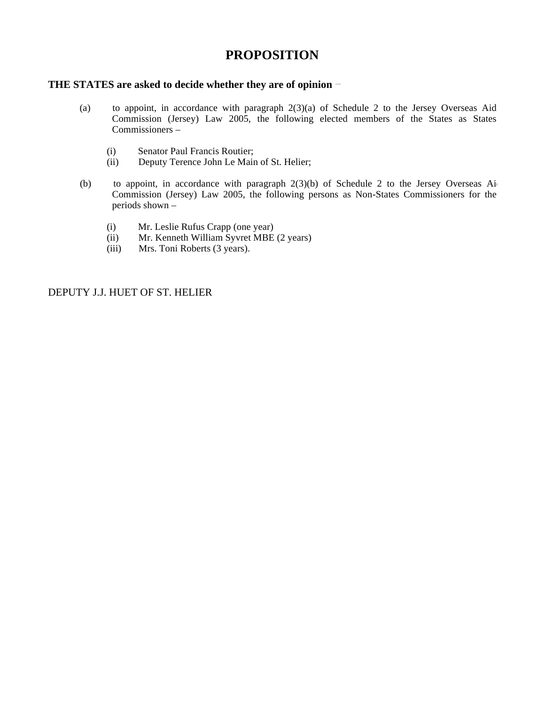### **PROPOSITION**

#### **THE STATES are asked to decide whether they are of opinion**

- (a) to appoint, in accordance with paragraph 2(3)(a) of Schedule 2 to the Jersey Overseas Aid Commission (Jersey) Law 2005, the following elected members of the States as States Commissioners –
	- (i) Senator Paul Francis Routier;<br>(ii) Deputy Terence John Le Main
	- Deputy Terence John Le Main of St. Helier;
- (b) to appoint, in accordance with paragraph  $2(3)(b)$  of Schedule 2 to the Jersey Overseas Ai Commission (Jersey) Law 2005, the following persons as Non-States Commissioners for the periods shown –
	- (i) Mr. Leslie Rufus Crapp (one year)
	- (ii) Mr. Kenneth William Syvret MBE (2 years)
	- (iii) Mrs. Toni Roberts (3 years).

DEPUTY J.J. HUET OF ST. HELIER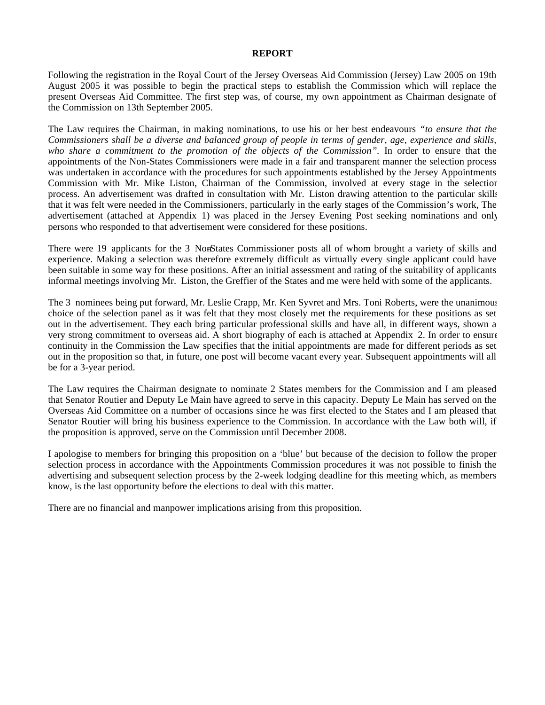#### **REPORT**

Following the registration in the Royal Court of the Jersey Overseas Aid Commission (Jersey) Law 2005 on 19th August 2005 it was possible to begin the practical steps to establish the Commission which will replace the present Overseas Aid Committee. The first step was, of course, my own appointment as Chairman designate of the Commission on 13th September 2005.

The Law requires the Chairman, in making nominations, to use his or her best endeavours *"to ensure that the Commissioners shall be a diverse and balanced group of people in terms of gender, age, experience and skills, who share a commitment to the promotion of the objects of the Commission".* In order to ensure that the appointments of the Non-States Commissioners were made in a fair and transparent manner the selection process was undertaken in accordance with the procedures for such appointments established by the Jersey Appointments Commission with Mr. Mike Liston, Chairman of the Commission, involved at every stage in the selection process. An advertisement was drafted in consultation with Mr. Liston drawing attention to the particular skills that it was felt were needed in the Commissioners, particularly in the early stages of the Commission's work, The advertisement (attached at Appendix 1) was placed in the Jersey Evening Post seeking nominations and only persons who responded to that advertisement were considered for these positions.

There were 19 applicants for the 3 NonStates Commissioner posts all of whom brought a variety of skills and experience. Making a selection was therefore extremely difficult as virtually every single applicant could have been suitable in some way for these positions. After an initial assessment and rating of the suitability of applicants informal meetings involving Mr. Liston, the Greffier of the States and me were held with some of the applicants.

The 3 nominees being put forward, Mr. Leslie Crapp, Mr. Ken Syvret and Mrs. Toni Roberts, were the unanimous choice of the selection panel as it was felt that they most closely met the requirements for these positions as set out in the advertisement. They each bring particular professional skills and have all, in different ways, shown a very strong commitment to overseas aid. A short biography of each is attached at Appendix 2. In order to ensure continuity in the Commission the Law specifies that the initial appointments are made for different periods as set out in the proposition so that, in future, one post will become vacant every year. Subsequent appointments will all be for a 3-year period.

The Law requires the Chairman designate to nominate 2 States members for the Commission and I am pleased that Senator Routier and Deputy Le Main have agreed to serve in this capacity. Deputy Le Main has served on the Overseas Aid Committee on a number of occasions since he was first elected to the States and I am pleased that Senator Routier will bring his business experience to the Commission. In accordance with the Law both will, if the proposition is approved, serve on the Commission until December 2008.

I apologise to members for bringing this proposition on a 'blue' but because of the decision to follow the proper selection process in accordance with the Appointments Commission procedures it was not possible to finish the advertising and subsequent selection process by the 2-week lodging deadline for this meeting which, as members know, is the last opportunity before the elections to deal with this matter.

There are no financial and manpower implications arising from this proposition.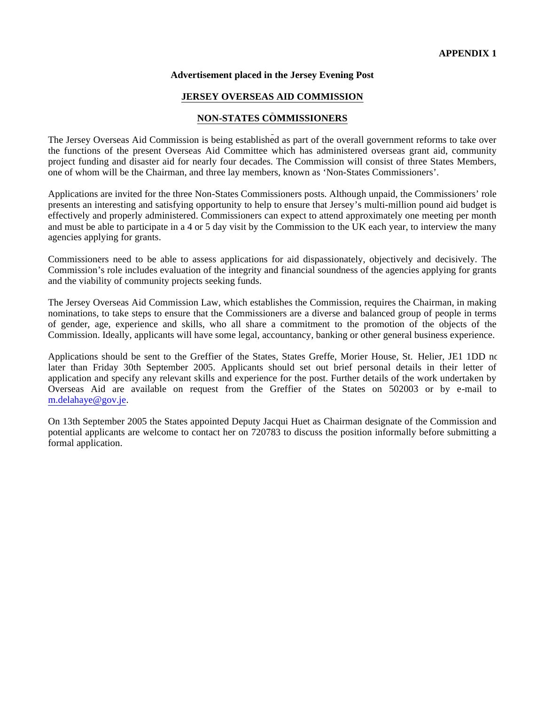#### **Advertisement placed in the Jersey Evening Post**

#### **JERSEY OVERSEAS AID COMMISSION**

#### **NON-STATES COMMISSIONERS**

The Jersey Overseas Aid Commission is being established as part of the overall government reforms to take over the functions of the present Overseas Aid Committee which has administered overseas grant aid, community project funding and disaster aid for nearly four decades. The Commission will consist of three States Members, one of whom will be the Chairman, and three lay members, known as 'Non-States Commissioners'.

Applications are invited for the three Non-States Commissioners posts. Although unpaid, the Commissioners' role presents an interesting and satisfying opportunity to help to ensure that Jersey's multi-million pound aid budget is effectively and properly administered. Commissioners can expect to attend approximately one meeting per month and must be able to participate in a 4 or 5 day visit by the Commission to the UK each year, to interview the many agencies applying for grants.

Commissioners need to be able to assess applications for aid dispassionately, objectively and decisively. The Commission's role includes evaluation of the integrity and financial soundness of the agencies applying for grants and the viability of community projects seeking funds.

The Jersey Overseas Aid Commission Law, which establishes the Commission, requires the Chairman, in making nominations, to take steps to ensure that the Commissioners are a diverse and balanced group of people in terms of gender, age, experience and skills, who all share a commitment to the promotion of the objects of the Commission. Ideally, applicants will have some legal, accountancy, banking or other general business experience.

Applications should be sent to the Greffier of the States, States Greffe, Morier House, St. Helier, JE1 1DD no later than Friday 30th September 2005. Applicants should set out brief personal details in their letter of application and specify any relevant skills and experience for the post. Further details of the work undertaken by Overseas Aid are available on request from the Greffier of the States on 502003 or by e-mail to m[.delahaye@gov.je.](mailto:delahaye@gov.je)

On 13th September 2005 the States appointed Deputy Jacqui Huet as Chairman designate of the Commission and potential applicants are welcome to contact her on 720783 to discuss the position informally before submitting a formal application.